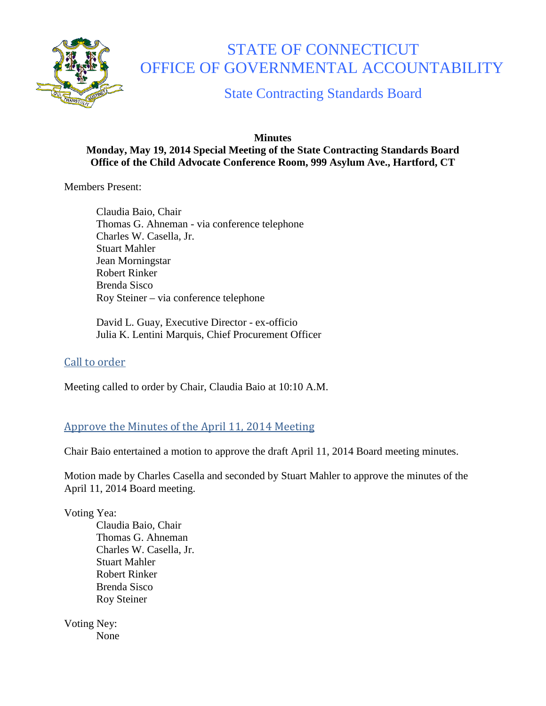

# STATE OF CONNECTICUT OFFICE OF GOVERNMENTAL ACCOUNTABILITY

State Contracting Standards Board

#### **Minutes Monday, May 19, 2014 Special Meeting of the State Contracting Standards Board Office of the Child Advocate Conference Room, 999 Asylum Ave., Hartford, CT**

Members Present:

Claudia Baio, Chair Thomas G. Ahneman - via conference telephone Charles W. Casella, Jr. Stuart Mahler Jean Morningstar Robert Rinker Brenda Sisco Roy Steiner – via conference telephone

David L. Guay, Executive Director - ex-officio Julia K. Lentini Marquis, Chief Procurement Officer

## Call to order

Meeting called to order by Chair, Claudia Baio at 10:10 A.M.

## Approve the Minutes of the April 11, 2014 Meeting

Chair Baio entertained a motion to approve the draft April 11, 2014 Board meeting minutes.

Motion made by Charles Casella and seconded by Stuart Mahler to approve the minutes of the April 11, 2014 Board meeting.

Voting Yea:

Claudia Baio, Chair Thomas G. Ahneman Charles W. Casella, Jr. Stuart Mahler Robert Rinker Brenda Sisco Roy Steiner

Voting Ney: None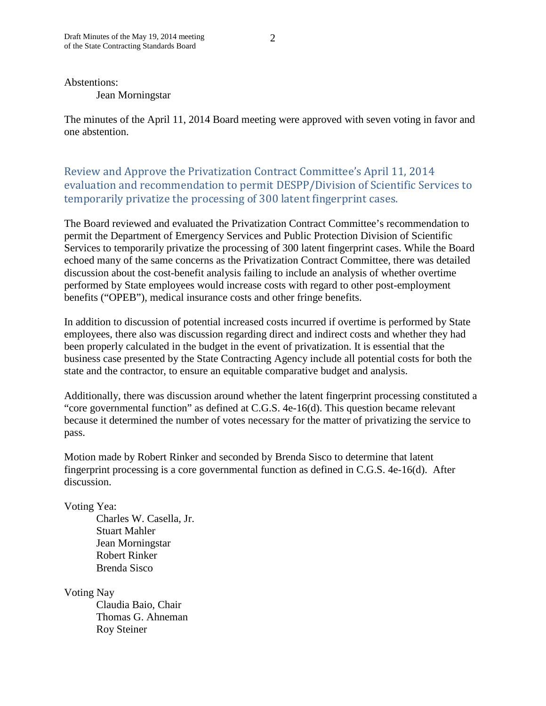Abstentions:

Jean Morningstar

The minutes of the April 11, 2014 Board meeting were approved with seven voting in favor and one abstention.

Review and Approve the Privatization Contract Committee's April 11, 2014 evaluation and recommendation to permit DESPP/Division of Scientific Services to temporarily privatize the processing of 300 latent fingerprint cases.

The Board reviewed and evaluated the Privatization Contract Committee's recommendation to permit the Department of Emergency Services and Public Protection Division of Scientific Services to temporarily privatize the processing of 300 latent fingerprint cases. While the Board echoed many of the same concerns as the Privatization Contract Committee, there was detailed discussion about the cost-benefit analysis failing to include an analysis of whether overtime performed by State employees would increase costs with regard to other post-employment benefits ("OPEB"), medical insurance costs and other fringe benefits.

In addition to discussion of potential increased costs incurred if overtime is performed by State employees, there also was discussion regarding direct and indirect costs and whether they had been properly calculated in the budget in the event of privatization. It is essential that the business case presented by the State Contracting Agency include all potential costs for both the state and the contractor, to ensure an equitable comparative budget and analysis.

Additionally, there was discussion around whether the latent fingerprint processing constituted a "core governmental function" as defined at C.G.S. 4e-16(d). This question became relevant because it determined the number of votes necessary for the matter of privatizing the service to pass.

Motion made by Robert Rinker and seconded by Brenda Sisco to determine that latent fingerprint processing is a core governmental function as defined in C.G.S. 4e-16(d). After discussion.

Voting Yea:

Charles W. Casella, Jr. Stuart Mahler Jean Morningstar Robert Rinker Brenda Sisco

Voting Nay

Claudia Baio, Chair Thomas G. Ahneman Roy Steiner